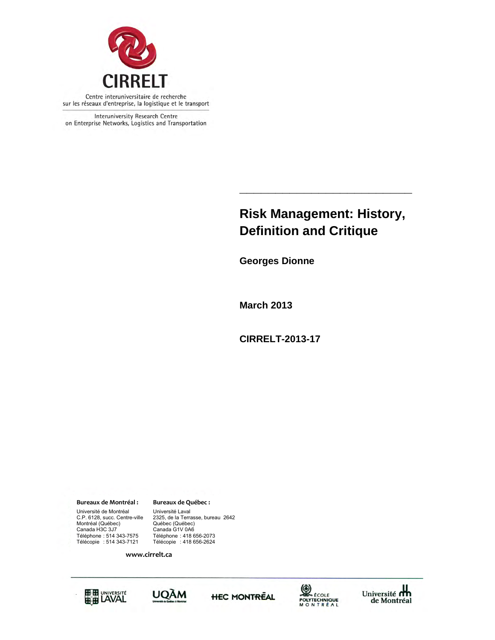

Interuniversity Research Centre on Enterprise Networks, Logistics and Transportation

# **Risk Management: History, Definition and Critique**

**\_\_\_\_\_\_\_\_\_\_\_\_\_\_\_\_\_\_\_\_\_\_\_\_**

**Georges Dionne** 

**March 2013** 

**CIRRELT-2013-17**

**Bureaux de Montréal : Bureaux de Québec :**

Université de Montréal Université Laval C.P. 6128, succ. Centre-ville<br>Montréal (Québec)<br>Canada H3C 3J7 Canada H3C 3J7 Canada G1V 0A6 Téléphone : 514 343-7575 Téléphone : 418 656-2073 Télécopie : 514 343-7121 Télécopie : 418 656-2624

G1V 0A6 C.P. 6128, succ. Centre-ville 2325, de la Terrasse, bureau 2642

**www.cirrelt.ca**





**HEC MONTREAL** 



Université<br>de Montréal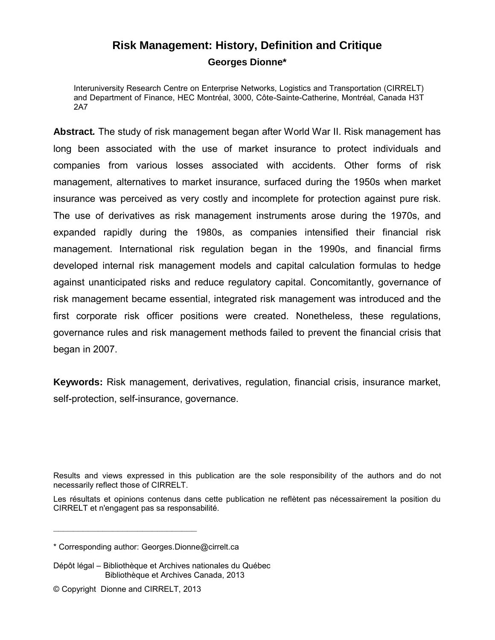# **Risk Management: History, Definition and Critique Georges Dionne\***

Interuniversity Research Centre on Enterprise Networks, Logistics and Transportation (CIRRELT) and Department of Finance, HEC Montréal, 3000, Côte-Sainte-Catherine, Montréal, Canada H3T 2A7

**Abstract***.* The study of risk management began after World War II. Risk management has long been associated with the use of market insurance to protect individuals and companies from various losses associated with accidents. Other forms of risk management, alternatives to market insurance, surfaced during the 1950s when market insurance was perceived as very costly and incomplete for protection against pure risk. The use of derivatives as risk management instruments arose during the 1970s, and expanded rapidly during the 1980s, as companies intensified their financial risk management. International risk regulation began in the 1990s, and financial firms developed internal risk management models and capital calculation formulas to hedge against unanticipated risks and reduce regulatory capital. Concomitantly, governance of risk management became essential, integrated risk management was introduced and the first corporate risk officer positions were created. Nonetheless, these regulations, governance rules and risk management methods failed to prevent the financial crisis that began in 2007.

**Keywords:** Risk management, derivatives, regulation, financial crisis, insurance market, self-protection, self-insurance, governance.

**\_\_\_\_\_\_\_\_\_\_\_\_\_\_\_\_\_\_\_\_\_\_\_\_\_\_\_\_\_**

Results and views expressed in this publication are the sole responsibility of the authors and do not necessarily reflect those of CIRRELT.

Les résultats et opinions contenus dans cette publication ne reflètent pas nécessairement la position du CIRRELT et n'engagent pas sa responsabilité.

<sup>\*</sup> Corresponding author: Georges.Dionne@cirrelt.ca

Dépôt légal – Bibliothèque et Archives nationales du Québec Bibliothèque et Archives Canada, 2013

<sup>©</sup> Copyright Dionne and CIRRELT, 2013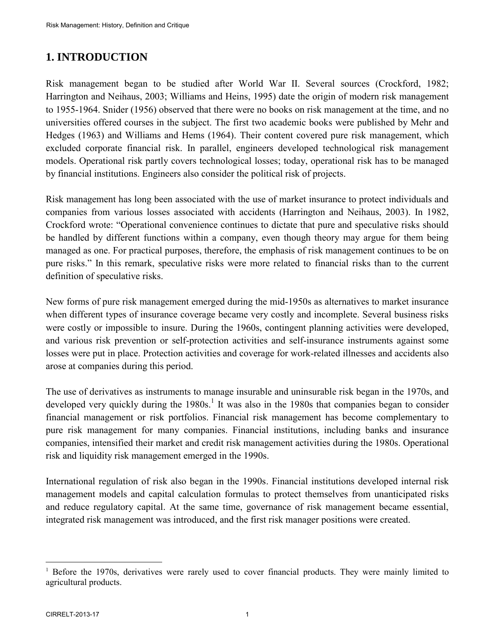# **1. INTRODUCTION**

Risk management began to be studied after World War II. Several sources (Crockford, 1982; Harrington and Neihaus, 2003; Williams and Heins, 1995) date the origin of modern risk management to 1955-1964. Snider (1956) observed that there were no books on risk management at the time, and no universities offered courses in the subject. The first two academic books were published by Mehr and Hedges (1963) and Williams and Hems (1964). Their content covered pure risk management, which excluded corporate financial risk. In parallel, engineers developed technological risk management models. Operational risk partly covers technological losses; today, operational risk has to be managed by financial institutions. Engineers also consider the political risk of projects.

Risk management has long been associated with the use of market insurance to protect individuals and companies from various losses associated with accidents (Harrington and Neihaus, 2003). In 1982, Crockford wrote: "Operational convenience continues to dictate that pure and speculative risks should be handled by different functions within a company, even though theory may argue for them being managed as one. For practical purposes, therefore, the emphasis of risk management continues to be on pure risks." In this remark, speculative risks were more related to financial risks than to the current definition of speculative risks.

New forms of pure risk management emerged during the mid-1950s as alternatives to market insurance when different types of insurance coverage became very costly and incomplete. Several business risks were costly or impossible to insure. During the 1960s, contingent planning activities were developed, and various risk prevention or self-protection activities and self-insurance instruments against some losses were put in place. Protection activities and coverage for work-related illnesses and accidents also arose at companies during this period.

The use of derivatives as instruments to manage insurable and uninsurable risk began in the 1970s, and developed very quickly during the  $1980s$ .<sup>1</sup> It was also in the 1980s that companies began to consider financial management or risk portfolios. Financial risk management has become complementary to pure risk management for many companies. Financial institutions, including banks and insurance companies, intensified their market and credit risk management activities during the 1980s. Operational risk and liquidity risk management emerged in the 1990s.

International regulation of risk also began in the 1990s. Financial institutions developed internal risk management models and capital calculation formulas to protect themselves from unanticipated risks and reduce regulatory capital. At the same time, governance of risk management became essential, integrated risk management was introduced, and the first risk manager positions were created.

 $\overline{a}$ 1 Before the 1970s, derivatives were rarely used to cover financial products. They were mainly limited to agricultural products.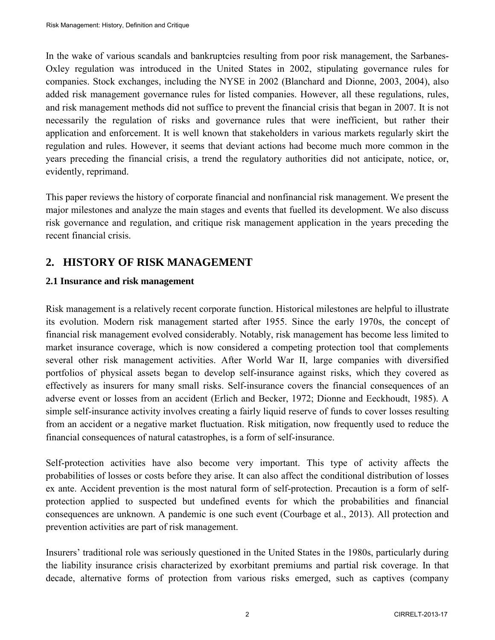In the wake of various scandals and bankruptcies resulting from poor risk management, the Sarbanes-Oxley regulation was introduced in the United States in 2002, stipulating governance rules for companies. Stock exchanges, including the NYSE in 2002 (Blanchard and Dionne, 2003, 2004), also added risk management governance rules for listed companies. However, all these regulations, rules, and risk management methods did not suffice to prevent the financial crisis that began in 2007. It is not necessarily the regulation of risks and governance rules that were inefficient, but rather their application and enforcement. It is well known that stakeholders in various markets regularly skirt the regulation and rules. However, it seems that deviant actions had become much more common in the years preceding the financial crisis, a trend the regulatory authorities did not anticipate, notice, or, evidently, reprimand.

This paper reviews the history of corporate financial and nonfinancial risk management. We present the major milestones and analyze the main stages and events that fuelled its development. We also discuss risk governance and regulation, and critique risk management application in the years preceding the recent financial crisis.

# **2. HISTORY OF RISK MANAGEMENT**

#### **2.1 Insurance and risk management**

Risk management is a relatively recent corporate function. Historical milestones are helpful to illustrate its evolution. Modern risk management started after 1955. Since the early 1970s, the concept of financial risk management evolved considerably. Notably, risk management has become less limited to market insurance coverage, which is now considered a competing protection tool that complements several other risk management activities. After World War II, large companies with diversified portfolios of physical assets began to develop self-insurance against risks, which they covered as effectively as insurers for many small risks. Self-insurance covers the financial consequences of an adverse event or losses from an accident (Erlich and Becker, 1972; Dionne and Eeckhoudt, 1985). A simple self-insurance activity involves creating a fairly liquid reserve of funds to cover losses resulting from an accident or a negative market fluctuation. Risk mitigation, now frequently used to reduce the financial consequences of natural catastrophes, is a form of self-insurance.

Self-protection activities have also become very important. This type of activity affects the probabilities of losses or costs before they arise. It can also affect the conditional distribution of losses ex ante. Accident prevention is the most natural form of self-protection. Precaution is a form of selfprotection applied to suspected but undefined events for which the probabilities and financial consequences are unknown. A pandemic is one such event (Courbage et al., 2013). All protection and prevention activities are part of risk management.

Insurers' traditional role was seriously questioned in the United States in the 1980s, particularly during the liability insurance crisis characterized by exorbitant premiums and partial risk coverage. In that decade, alternative forms of protection from various risks emerged, such as captives (company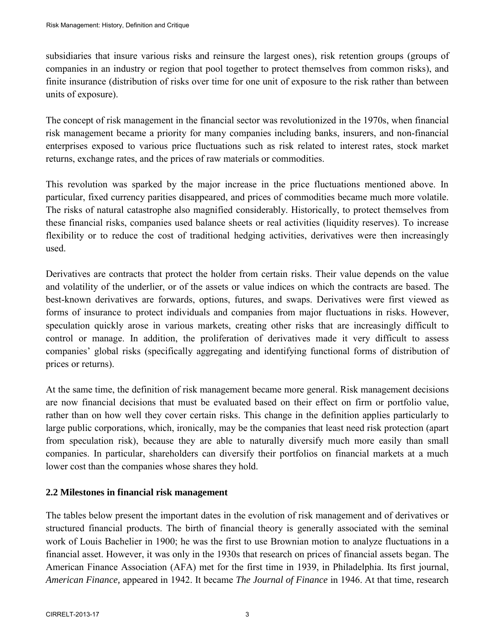subsidiaries that insure various risks and reinsure the largest ones), risk retention groups (groups of companies in an industry or region that pool together to protect themselves from common risks), and finite insurance (distribution of risks over time for one unit of exposure to the risk rather than between units of exposure).

The concept of risk management in the financial sector was revolutionized in the 1970s, when financial risk management became a priority for many companies including banks, insurers, and non-financial enterprises exposed to various price fluctuations such as risk related to interest rates, stock market returns, exchange rates, and the prices of raw materials or commodities.

This revolution was sparked by the major increase in the price fluctuations mentioned above. In particular, fixed currency parities disappeared, and prices of commodities became much more volatile. The risks of natural catastrophe also magnified considerably. Historically, to protect themselves from these financial risks, companies used balance sheets or real activities (liquidity reserves). To increase flexibility or to reduce the cost of traditional hedging activities, derivatives were then increasingly used.

Derivatives are contracts that protect the holder from certain risks. Their value depends on the value and volatility of the underlier, or of the assets or value indices on which the contracts are based. The best-known derivatives are forwards, options, futures, and swaps. Derivatives were first viewed as forms of insurance to protect individuals and companies from major fluctuations in risks. However, speculation quickly arose in various markets, creating other risks that are increasingly difficult to control or manage. In addition, the proliferation of derivatives made it very difficult to assess companies' global risks (specifically aggregating and identifying functional forms of distribution of prices or returns).

At the same time, the definition of risk management became more general. Risk management decisions are now financial decisions that must be evaluated based on their effect on firm or portfolio value, rather than on how well they cover certain risks. This change in the definition applies particularly to large public corporations, which, ironically, may be the companies that least need risk protection (apart from speculation risk), because they are able to naturally diversify much more easily than small companies. In particular, shareholders can diversify their portfolios on financial markets at a much lower cost than the companies whose shares they hold.

#### **2.2 Milestones in financial risk management**

The tables below present the important dates in the evolution of risk management and of derivatives or structured financial products. The birth of financial theory is generally associated with the seminal work of Louis Bachelier in 1900; he was the first to use Brownian motion to analyze fluctuations in a financial asset. However, it was only in the 1930s that research on prices of financial assets began. The American Finance Association (AFA) met for the first time in 1939, in Philadelphia. Its first journal, *American Finance,* appeared in 1942. It became *The Journal of Finance* in 1946. At that time, research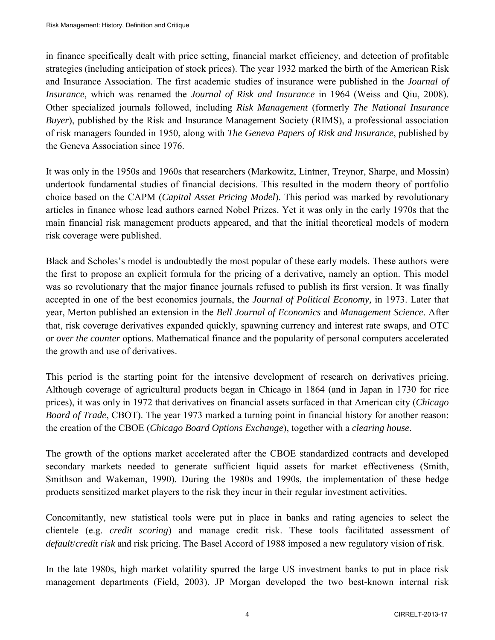in finance specifically dealt with price setting, financial market efficiency, and detection of profitable strategies (including anticipation of stock prices). The year 1932 marked the birth of the American Risk and Insurance Association. The first academic studies of insurance were published in the *Journal of Insurance,* which was renamed the *Journal of Risk and Insurance* in 1964 (Weiss and Qiu, 2008). Other specialized journals followed, including *Risk Management* (formerly *The National Insurance Buyer*), published by the Risk and Insurance Management Society (RIMS), a professional association of risk managers founded in 1950, along with *The Geneva Papers of Risk and Insurance*, published by the Geneva Association since 1976.

It was only in the 1950s and 1960s that researchers (Markowitz, Lintner, Treynor, Sharpe, and Mossin) undertook fundamental studies of financial decisions. This resulted in the modern theory of portfolio choice based on the CAPM (*Capital Asset Pricing Model*). This period was marked by revolutionary articles in finance whose lead authors earned Nobel Prizes. Yet it was only in the early 1970s that the main financial risk management products appeared, and that the initial theoretical models of modern risk coverage were published.

Black and Scholes's model is undoubtedly the most popular of these early models. These authors were the first to propose an explicit formula for the pricing of a derivative, namely an option. This model was so revolutionary that the major finance journals refused to publish its first version. It was finally accepted in one of the best economics journals, the *Journal of Political Economy,* in 1973. Later that year, Merton published an extension in the *Bell Journal of Economics* and *Management Science*. After that, risk coverage derivatives expanded quickly, spawning currency and interest rate swaps, and OTC or *over the counter* options. Mathematical finance and the popularity of personal computers accelerated the growth and use of derivatives.

This period is the starting point for the intensive development of research on derivatives pricing. Although coverage of agricultural products began in Chicago in 1864 (and in Japan in 1730 for rice prices), it was only in 1972 that derivatives on financial assets surfaced in that American city (*Chicago Board of Trade*, CBOT). The year 1973 marked a turning point in financial history for another reason: the creation of the CBOE (*Chicago Board Options Exchange*), together with a *clearing house*.

The growth of the options market accelerated after the CBOE standardized contracts and developed secondary markets needed to generate sufficient liquid assets for market effectiveness (Smith, Smithson and Wakeman, 1990). During the 1980s and 1990s, the implementation of these hedge products sensitized market players to the risk they incur in their regular investment activities.

Concomitantly, new statistical tools were put in place in banks and rating agencies to select the clientele (e.g. *credit scoring*) and manage credit risk. These tools facilitated assessment of *default*/*credit risk* and risk pricing. The Basel Accord of 1988 imposed a new regulatory vision of risk.

In the late 1980s, high market volatility spurred the large US investment banks to put in place risk management departments (Field, 2003). JP Morgan developed the two best-known internal risk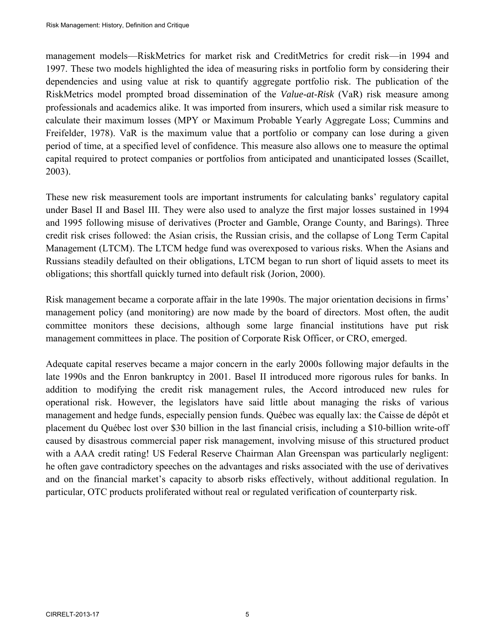management models—RiskMetrics for market risk and CreditMetrics for credit risk—in 1994 and 1997. These two models highlighted the idea of measuring risks in portfolio form by considering their dependencies and using value at risk to quantify aggregate portfolio risk. The publication of the RiskMetrics model prompted broad dissemination of the *Value-at-Risk* (VaR) risk measure among professionals and academics alike. It was imported from insurers, which used a similar risk measure to calculate their maximum losses (MPY or Maximum Probable Yearly Aggregate Loss; Cummins and Freifelder, 1978). VaR is the maximum value that a portfolio or company can lose during a given period of time, at a specified level of confidence. This measure also allows one to measure the optimal capital required to protect companies or portfolios from anticipated and unanticipated losses (Scaillet, 2003).

These new risk measurement tools are important instruments for calculating banks' regulatory capital under Basel II and Basel III. They were also used to analyze the first major losses sustained in 1994 and 1995 following misuse of derivatives (Procter and Gamble, Orange County, and Barings). Three credit risk crises followed: the Asian crisis, the Russian crisis, and the collapse of Long Term Capital Management (LTCM). The LTCM hedge fund was overexposed to various risks. When the Asians and Russians steadily defaulted on their obligations, LTCM began to run short of liquid assets to meet its obligations; this shortfall quickly turned into default risk (Jorion, 2000).

Risk management became a corporate affair in the late 1990s. The major orientation decisions in firms' management policy (and monitoring) are now made by the board of directors. Most often, the audit committee monitors these decisions, although some large financial institutions have put risk management committees in place. The position of Corporate Risk Officer, or CRO, emerged.

Adequate capital reserves became a major concern in the early 2000s following major defaults in the late 1990s and the Enron bankruptcy in 2001. Basel II introduced more rigorous rules for banks. In addition to modifying the credit risk management rules, the Accord introduced new rules for operational risk. However, the legislators have said little about managing the risks of various management and hedge funds, especially pension funds. Québec was equally lax: the Caisse de dépôt et placement du Québec lost over \$30 billion in the last financial crisis, including a \$10-billion write-off caused by disastrous commercial paper risk management, involving misuse of this structured product with a AAA credit rating! US Federal Reserve Chairman Alan Greenspan was particularly negligent: he often gave contradictory speeches on the advantages and risks associated with the use of derivatives and on the financial market's capacity to absorb risks effectively, without additional regulation. In particular, OTC products proliferated without real or regulated verification of counterparty risk.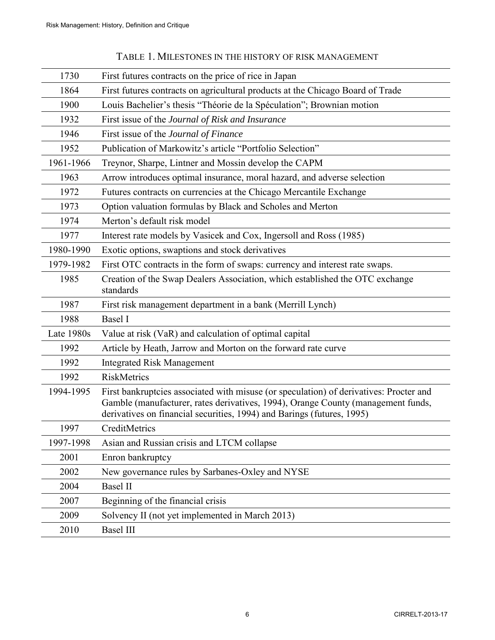|  |  | TABLE 1. MILESTONES IN THE HISTORY OF RISK MANAGEMENT |  |  |
|--|--|-------------------------------------------------------|--|--|
|--|--|-------------------------------------------------------|--|--|

| 1730       | First futures contracts on the price of rice in Japan                                                                                                                                                                                                |  |  |  |
|------------|------------------------------------------------------------------------------------------------------------------------------------------------------------------------------------------------------------------------------------------------------|--|--|--|
| 1864       | First futures contracts on agricultural products at the Chicago Board of Trade                                                                                                                                                                       |  |  |  |
| 1900       | Louis Bachelier's thesis "Théorie de la Spéculation"; Brownian motion                                                                                                                                                                                |  |  |  |
| 1932       | First issue of the Journal of Risk and Insurance                                                                                                                                                                                                     |  |  |  |
| 1946       | First issue of the Journal of Finance                                                                                                                                                                                                                |  |  |  |
| 1952       | Publication of Markowitz's article "Portfolio Selection"                                                                                                                                                                                             |  |  |  |
| 1961-1966  | Treynor, Sharpe, Lintner and Mossin develop the CAPM                                                                                                                                                                                                 |  |  |  |
| 1963       | Arrow introduces optimal insurance, moral hazard, and adverse selection                                                                                                                                                                              |  |  |  |
| 1972       | Futures contracts on currencies at the Chicago Mercantile Exchange                                                                                                                                                                                   |  |  |  |
| 1973       | Option valuation formulas by Black and Scholes and Merton                                                                                                                                                                                            |  |  |  |
| 1974       | Merton's default risk model                                                                                                                                                                                                                          |  |  |  |
| 1977       | Interest rate models by Vasicek and Cox, Ingersoll and Ross (1985)                                                                                                                                                                                   |  |  |  |
| 1980-1990  | Exotic options, swaptions and stock derivatives                                                                                                                                                                                                      |  |  |  |
| 1979-1982  | First OTC contracts in the form of swaps: currency and interest rate swaps.                                                                                                                                                                          |  |  |  |
| 1985       | Creation of the Swap Dealers Association, which established the OTC exchange<br>standards                                                                                                                                                            |  |  |  |
| 1987       | First risk management department in a bank (Merrill Lynch)                                                                                                                                                                                           |  |  |  |
| 1988       | Basel I                                                                                                                                                                                                                                              |  |  |  |
| Late 1980s | Value at risk (VaR) and calculation of optimal capital                                                                                                                                                                                               |  |  |  |
| 1992       | Article by Heath, Jarrow and Morton on the forward rate curve                                                                                                                                                                                        |  |  |  |
| 1992       | <b>Integrated Risk Management</b>                                                                                                                                                                                                                    |  |  |  |
| 1992       | RiskMetrics                                                                                                                                                                                                                                          |  |  |  |
| 1994-1995  | First bankruptcies associated with misuse (or speculation) of derivatives: Procter and<br>Gamble (manufacturer, rates derivatives, 1994), Orange County (management funds,<br>derivatives on financial securities, 1994) and Barings (futures, 1995) |  |  |  |
| 1997       | CreditMetrics                                                                                                                                                                                                                                        |  |  |  |
| 1997-1998  | Asian and Russian crisis and LTCM collapse                                                                                                                                                                                                           |  |  |  |
| 2001       | Enron bankruptcy                                                                                                                                                                                                                                     |  |  |  |
| 2002       | New governance rules by Sarbanes-Oxley and NYSE                                                                                                                                                                                                      |  |  |  |
| 2004       | <b>Basel II</b>                                                                                                                                                                                                                                      |  |  |  |
| 2007       | Beginning of the financial crisis                                                                                                                                                                                                                    |  |  |  |
| 2009       | Solvency II (not yet implemented in March 2013)                                                                                                                                                                                                      |  |  |  |
| 2010       | <b>Basel III</b>                                                                                                                                                                                                                                     |  |  |  |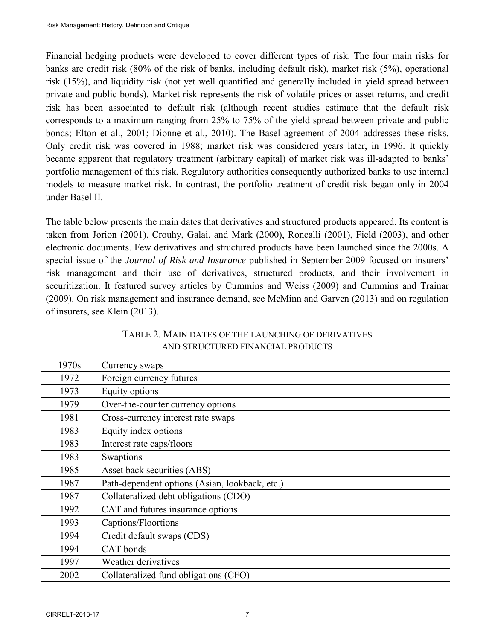Financial hedging products were developed to cover different types of risk. The four main risks for banks are credit risk (80% of the risk of banks, including default risk), market risk (5%), operational risk (15%), and liquidity risk (not yet well quantified and generally included in yield spread between private and public bonds). Market risk represents the risk of volatile prices or asset returns, and credit risk has been associated to default risk (although recent studies estimate that the default risk corresponds to a maximum ranging from 25% to 75% of the yield spread between private and public bonds; Elton et al., 2001; Dionne et al., 2010). The Basel agreement of 2004 addresses these risks. Only credit risk was covered in 1988; market risk was considered years later, in 1996. It quickly became apparent that regulatory treatment (arbitrary capital) of market risk was ill-adapted to banks' portfolio management of this risk. Regulatory authorities consequently authorized banks to use internal models to measure market risk. In contrast, the portfolio treatment of credit risk began only in 2004 under Basel II.

The table below presents the main dates that derivatives and structured products appeared. Its content is taken from Jorion (2001), Crouhy, Galai, and Mark (2000), Roncalli (2001), Field (2003), and other electronic documents. Few derivatives and structured products have been launched since the 2000s. A special issue of the *Journal of Risk and Insurance* published in September 2009 focused on insurers' risk management and their use of derivatives, structured products, and their involvement in securitization. It featured survey articles by Cummins and Weiss (2009) and Cummins and Trainar (2009). On risk management and insurance demand, see McMinn and Garven (2013) and on regulation of insurers, see Klein (2013).

| 1970s | Currency swaps                                 |
|-------|------------------------------------------------|
| 1972  | Foreign currency futures                       |
| 1973  | Equity options                                 |
| 1979  | Over-the-counter currency options              |
| 1981  | Cross-currency interest rate swaps             |
| 1983  | Equity index options                           |
| 1983  | Interest rate caps/floors                      |
| 1983  | Swaptions                                      |
| 1985  | Asset back securities (ABS)                    |
| 1987  | Path-dependent options (Asian, lookback, etc.) |
| 1987  | Collateralized debt obligations (CDO)          |
| 1992  | CAT and futures insurance options              |
| 1993  | Captions/Floortions                            |
| 1994  | Credit default swaps (CDS)                     |
| 1994  | CAT bonds                                      |
| 1997  | Weather derivatives                            |
| 2002  | Collateralized fund obligations (CFO)          |

TABLE 2. MAIN DATES OF THE LAUNCHING OF DERIVATIVES AND STRUCTURED FINANCIAL PRODUCTS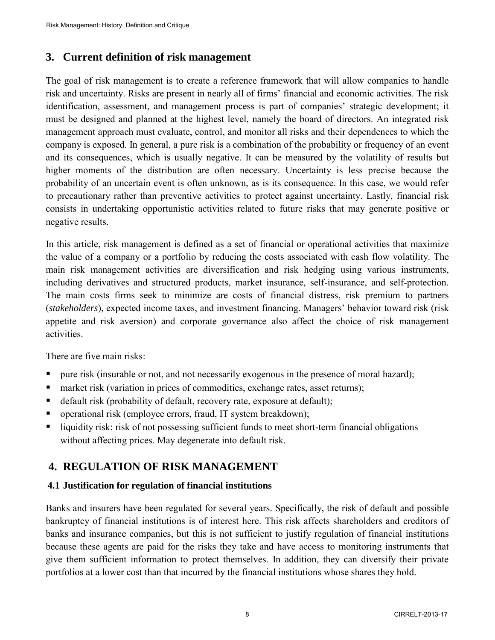# **3. Current definition of risk management**

The goal of risk management is to create a reference framework that will allow companies to handle risk and uncertainty. Risks are present in nearly all of firms' financial and economic activities. The risk identification, assessment, and management process is part of companies' strategic development; it must be designed and planned at the highest level, namely the board of directors. An integrated risk management approach must evaluate, control, and monitor all risks and their dependences to which the company is exposed. In general, a pure risk is a combination of the probability or frequency of an event and its consequences, which is usually negative. It can be measured by the volatility of results but higher moments of the distribution are often necessary. Uncertainty is less precise because the probability of an uncertain event is often unknown, as is its consequence. In this case, we would refer to precautionary rather than preventive activities to protect against uncertainty. Lastly, financial risk consists in undertaking opportunistic activities related to future risks that may generate positive or negative results.

In this article, risk management is defined as a set of financial or operational activities that maximize the value of a company or a portfolio by reducing the costs associated with cash flow volatility. The main risk management activities are diversification and risk hedging using various instruments, including derivatives and structured products, market insurance, self-insurance, and self-protection. The main costs firms seek to minimize are costs of financial distress, risk premium to partners (*stakeholders*), expected income taxes, and investment financing. Managers' behavior toward risk (risk appetite and risk aversion) and corporate governance also affect the choice of risk management activities.

There are five main risks:

- **P** pure risk (insurable or not, and not necessarily exogenous in the presence of moral hazard);
- market risk (variation in prices of commodities, exchange rates, asset returns);
- default risk (probability of default, recovery rate, exposure at default);
- operational risk (employee errors, fraud, IT system breakdown);
- liquidity risk: risk of not possessing sufficient funds to meet short-term financial obligations without affecting prices. May degenerate into default risk.

# **4. REGULATION OF RISK MANAGEMENT**

#### **4.1 Justification for regulation of financial institutions**

Banks and insurers have been regulated for several years. Specifically, the risk of default and possible bankruptcy of financial institutions is of interest here. This risk affects shareholders and creditors of banks and insurance companies, but this is not sufficient to justify regulation of financial institutions because these agents are paid for the risks they take and have access to monitoring instruments that give them sufficient information to protect themselves. In addition, they can diversify their private portfolios at a lower cost than that incurred by the financial institutions whose shares they hold.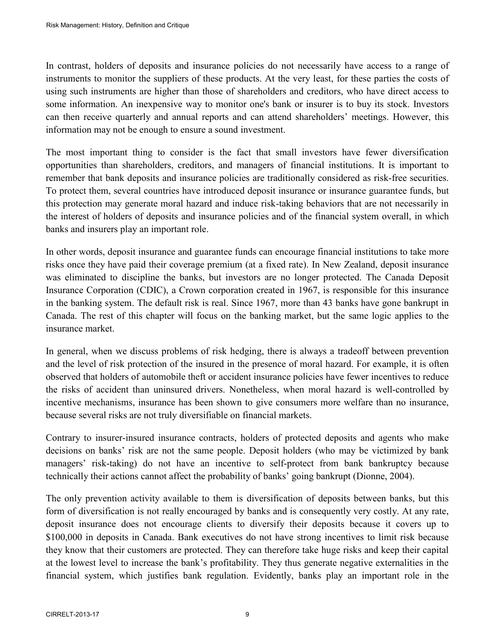In contrast, holders of deposits and insurance policies do not necessarily have access to a range of instruments to monitor the suppliers of these products. At the very least, for these parties the costs of using such instruments are higher than those of shareholders and creditors, who have direct access to some information. An inexpensive way to monitor one's bank or insurer is to buy its stock. Investors can then receive quarterly and annual reports and can attend shareholders' meetings. However, this information may not be enough to ensure a sound investment.

The most important thing to consider is the fact that small investors have fewer diversification opportunities than shareholders, creditors, and managers of financial institutions. It is important to remember that bank deposits and insurance policies are traditionally considered as risk-free securities. To protect them, several countries have introduced deposit insurance or insurance guarantee funds, but this protection may generate moral hazard and induce risk-taking behaviors that are not necessarily in the interest of holders of deposits and insurance policies and of the financial system overall, in which banks and insurers play an important role.

In other words, deposit insurance and guarantee funds can encourage financial institutions to take more risks once they have paid their coverage premium (at a fixed rate). In New Zealand, deposit insurance was eliminated to discipline the banks, but investors are no longer protected. The Canada Deposit Insurance Corporation (CDIC), a Crown corporation created in 1967, is responsible for this insurance in the banking system. The default risk is real. Since 1967, more than 43 banks have gone bankrupt in Canada. The rest of this chapter will focus on the banking market, but the same logic applies to the insurance market.

In general, when we discuss problems of risk hedging, there is always a tradeoff between prevention and the level of risk protection of the insured in the presence of moral hazard. For example, it is often observed that holders of automobile theft or accident insurance policies have fewer incentives to reduce the risks of accident than uninsured drivers. Nonetheless, when moral hazard is well-controlled by incentive mechanisms, insurance has been shown to give consumers more welfare than no insurance, because several risks are not truly diversifiable on financial markets.

Contrary to insurer-insured insurance contracts, holders of protected deposits and agents who make decisions on banks' risk are not the same people. Deposit holders (who may be victimized by bank managers' risk-taking) do not have an incentive to self-protect from bank bankruptcy because technically their actions cannot affect the probability of banks' going bankrupt (Dionne, 2004).

The only prevention activity available to them is diversification of deposits between banks, but this form of diversification is not really encouraged by banks and is consequently very costly. At any rate, deposit insurance does not encourage clients to diversify their deposits because it covers up to \$100,000 in deposits in Canada. Bank executives do not have strong incentives to limit risk because they know that their customers are protected. They can therefore take huge risks and keep their capital at the lowest level to increase the bank's profitability. They thus generate negative externalities in the financial system, which justifies bank regulation. Evidently, banks play an important role in the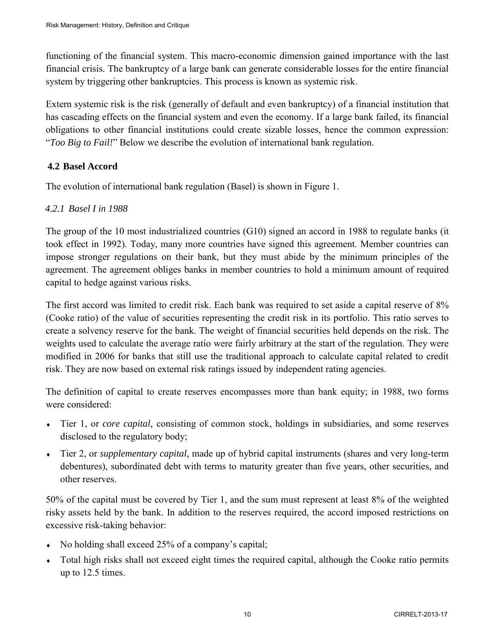functioning of the financial system. This macro-economic dimension gained importance with the last financial crisis. The bankruptcy of a large bank can generate considerable losses for the entire financial system by triggering other bankruptcies. This process is known as systemic risk.

Extern systemic risk is the risk (generally of default and even bankruptcy) of a financial institution that has cascading effects on the financial system and even the economy. If a large bank failed, its financial obligations to other financial institutions could create sizable losses, hence the common expression: "*Too Big to Fail!*" Below we describe the evolution of international bank regulation.

## **4.2 Basel Accord**

The evolution of international bank regulation (Basel) is shown in Figure 1.

## *4.2.1 Basel I in 1988*

The group of the 10 most industrialized countries (G10) signed an accord in 1988 to regulate banks (it took effect in 1992). Today, many more countries have signed this agreement. Member countries can impose stronger regulations on their bank, but they must abide by the minimum principles of the agreement. The agreement obliges banks in member countries to hold a minimum amount of required capital to hedge against various risks.

The first accord was limited to credit risk. Each bank was required to set aside a capital reserve of 8% (Cooke ratio) of the value of securities representing the credit risk in its portfolio. This ratio serves to create a solvency reserve for the bank. The weight of financial securities held depends on the risk. The weights used to calculate the average ratio were fairly arbitrary at the start of the regulation. They were modified in 2006 for banks that still use the traditional approach to calculate capital related to credit risk. They are now based on external risk ratings issued by independent rating agencies.

The definition of capital to create reserves encompasses more than bank equity; in 1988, two forms were considered:

- Tier 1, or *core capital,* consisting of common stock, holdings in subsidiaries, and some reserves disclosed to the regulatory body;
- Tier 2, or *supplementary capital,* made up of hybrid capital instruments (shares and very long-term debentures), subordinated debt with terms to maturity greater than five years, other securities, and other reserves.

50% of the capital must be covered by Tier 1, and the sum must represent at least 8% of the weighted risky assets held by the bank. In addition to the reserves required, the accord imposed restrictions on excessive risk-taking behavior:

- No holding shall exceed 25% of a company's capital;
- Total high risks shall not exceed eight times the required capital, although the Cooke ratio permits up to 12.5 times.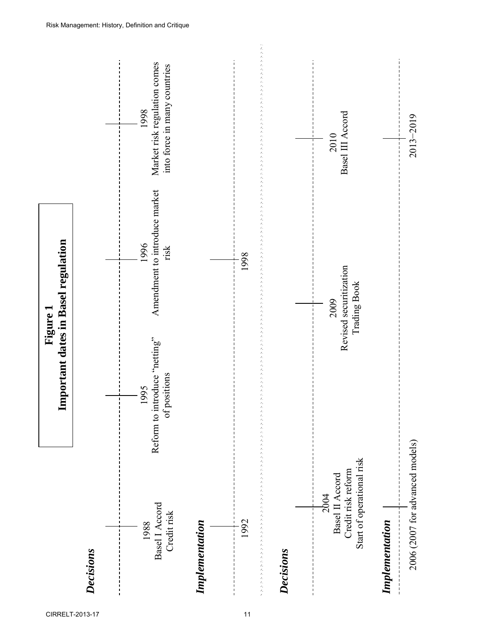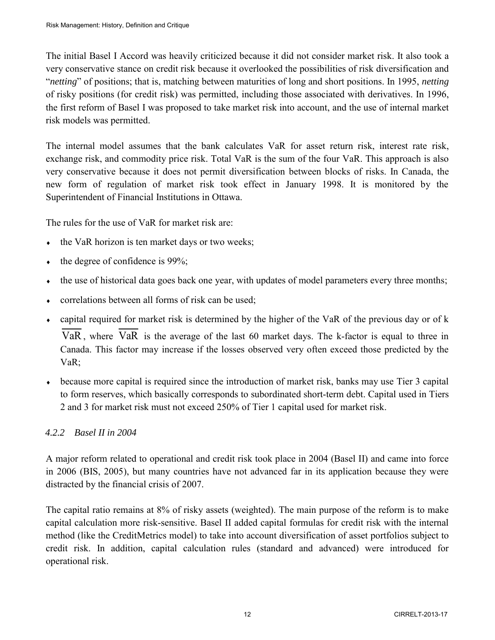The initial Basel I Accord was heavily criticized because it did not consider market risk. It also took a very conservative stance on credit risk because it overlooked the possibilities of risk diversification and "*netting*" of positions; that is, matching between maturities of long and short positions. In 1995, *netting* of risky positions (for credit risk) was permitted, including those associated with derivatives. In 1996, the first reform of Basel I was proposed to take market risk into account, and the use of internal market risk models was permitted.

The internal model assumes that the bank calculates VaR for asset return risk, interest rate risk, exchange risk, and commodity price risk. Total VaR is the sum of the four VaR. This approach is also very conservative because it does not permit diversification between blocks of risks. In Canada, the new form of regulation of market risk took effect in January 1998. It is monitored by the Superintendent of Financial Institutions in Ottawa.

The rules for the use of VaR for market risk are:

- the VaR horizon is ten market days or two weeks;
- $\cdot$  the degree of confidence is 99%;
- $\bullet$  the use of historical data goes back one year, with updates of model parameters every three months;
- correlations between all forms of risk can be used;
- capital required for market risk is determined by the higher of the VaR of the previous day or of k VaR, where VaR is the average of the last 60 market days. The k-factor is equal to three in Canada. This factor may increase if the losses observed very often exceed those predicted by the VaR;
- because more capital is required since the introduction of market risk, banks may use Tier 3 capital to form reserves, which basically corresponds to subordinated short-term debt. Capital used in Tiers 2 and 3 for market risk must not exceed 250% of Tier 1 capital used for market risk.

## *4.2.2 Basel II in 2004*

A major reform related to operational and credit risk took place in 2004 (Basel II) and came into force in 2006 (BIS, 2005), but many countries have not advanced far in its application because they were distracted by the financial crisis of 2007.

The capital ratio remains at 8% of risky assets (weighted). The main purpose of the reform is to make capital calculation more risk-sensitive. Basel II added capital formulas for credit risk with the internal method (like the CreditMetrics model) to take into account diversification of asset portfolios subject to credit risk. In addition, capital calculation rules (standard and advanced) were introduced for operational risk.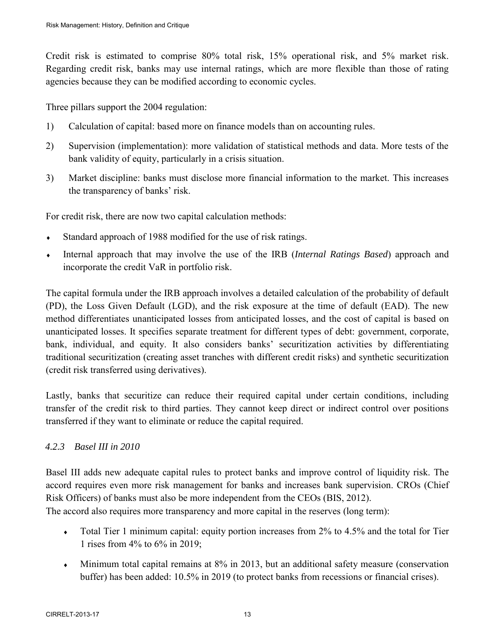Credit risk is estimated to comprise 80% total risk, 15% operational risk, and 5% market risk. Regarding credit risk, banks may use internal ratings, which are more flexible than those of rating agencies because they can be modified according to economic cycles.

Three pillars support the 2004 regulation:

- 1) Calculation of capital: based more on finance models than on accounting rules.
- 2) Supervision (implementation): more validation of statistical methods and data. More tests of the bank validity of equity, particularly in a crisis situation.
- 3) Market discipline: banks must disclose more financial information to the market. This increases the transparency of banks' risk.

For credit risk, there are now two capital calculation methods:

- Standard approach of 1988 modified for the use of risk ratings.
- Internal approach that may involve the use of the IRB (*Internal Ratings Based*) approach and incorporate the credit VaR in portfolio risk.

The capital formula under the IRB approach involves a detailed calculation of the probability of default (PD), the Loss Given Default (LGD), and the risk exposure at the time of default (EAD). The new method differentiates unanticipated losses from anticipated losses, and the cost of capital is based on unanticipated losses. It specifies separate treatment for different types of debt: government, corporate, bank, individual, and equity. It also considers banks' securitization activities by differentiating traditional securitization (creating asset tranches with different credit risks) and synthetic securitization (credit risk transferred using derivatives).

Lastly, banks that securitize can reduce their required capital under certain conditions, including transfer of the credit risk to third parties. They cannot keep direct or indirect control over positions transferred if they want to eliminate or reduce the capital required.

## *4.2.3 Basel III in 2010*

Basel III adds new adequate capital rules to protect banks and improve control of liquidity risk. The accord requires even more risk management for banks and increases bank supervision. CROs (Chief Risk Officers) of banks must also be more independent from the CEOs (BIS, 2012). The accord also requires more transparency and more capital in the reserves (long term):

- Total Tier 1 minimum capital: equity portion increases from 2% to 4.5% and the total for Tier 1 rises from 4% to 6% in 2019;
- Minimum total capital remains at 8% in 2013, but an additional safety measure (conservation buffer) has been added: 10.5% in 2019 (to protect banks from recessions or financial crises).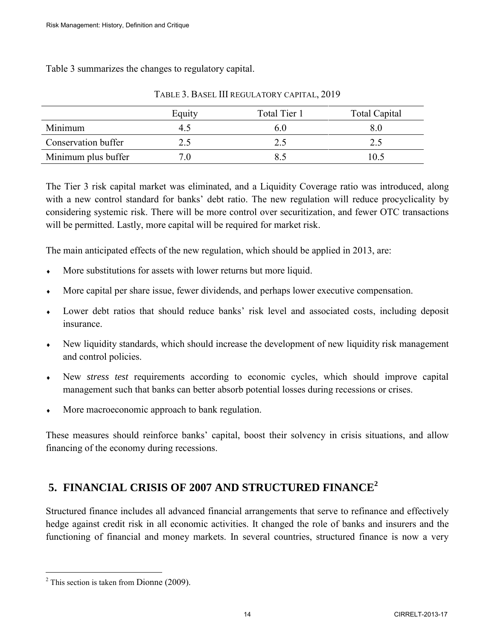Table 3 summarizes the changes to regulatory capital.

|                     | Equity | Total Tier 1 | <b>Total Capital</b> |
|---------------------|--------|--------------|----------------------|
| Minimum             | 4.5    | 6.0          |                      |
| Conservation buffer |        | 2.5          |                      |
| Minimum plus buffer | 7.0    | 8.5          | 10.5                 |

TABLE 3. BASEL III REGULATORY CAPITAL, 2019

The Tier 3 risk capital market was eliminated, and a Liquidity Coverage ratio was introduced, along with a new control standard for banks' debt ratio. The new regulation will reduce procyclicality by considering systemic risk. There will be more control over securitization, and fewer OTC transactions will be permitted. Lastly, more capital will be required for market risk.

The main anticipated effects of the new regulation, which should be applied in 2013, are:

- More substitutions for assets with lower returns but more liquid.
- More capital per share issue, fewer dividends, and perhaps lower executive compensation.
- Lower debt ratios that should reduce banks' risk level and associated costs, including deposit insurance.
- New liquidity standards, which should increase the development of new liquidity risk management and control policies.
- New *stress test* requirements according to economic cycles, which should improve capital management such that banks can better absorb potential losses during recessions or crises.
- More macroeconomic approach to bank regulation.

These measures should reinforce banks' capital, boost their solvency in crisis situations, and allow financing of the economy during recessions.

# **5. FINANCIAL CRISIS OF 2007 AND STRUCTURED FINANCE<sup>2</sup>**

Structured finance includes all advanced financial arrangements that serve to refinance and effectively hedge against credit risk in all economic activities. It changed the role of banks and insurers and the functioning of financial and money markets. In several countries, structured finance is now a very

 $\overline{a}$ 

 $2$ <sup>2</sup> This section is taken from Dionne (2009).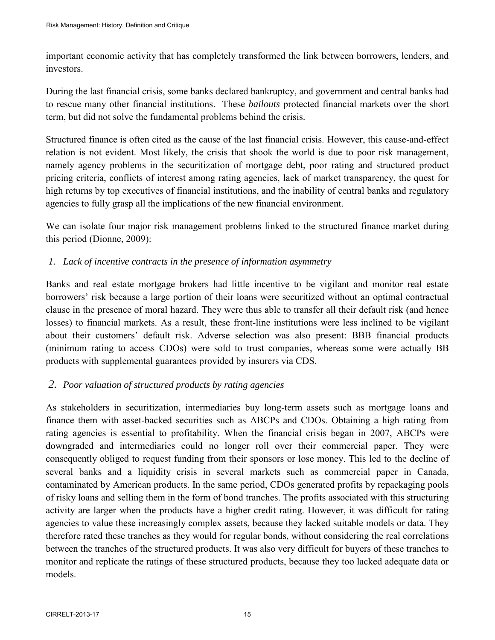important economic activity that has completely transformed the link between borrowers, lenders, and investors.

During the last financial crisis, some banks declared bankruptcy, and government and central banks had to rescue many other financial institutions. These *bailouts* protected financial markets over the short term, but did not solve the fundamental problems behind the crisis.

Structured finance is often cited as the cause of the last financial crisis. However, this cause-and-effect relation is not evident. Most likely, the crisis that shook the world is due to poor risk management, namely agency problems in the securitization of mortgage debt, poor rating and structured product pricing criteria, conflicts of interest among rating agencies, lack of market transparency, the quest for high returns by top executives of financial institutions, and the inability of central banks and regulatory agencies to fully grasp all the implications of the new financial environment.

We can isolate four major risk management problems linked to the structured finance market during this period (Dionne, 2009):

#### *1. Lack of incentive contracts in the presence of information asymmetry*

Banks and real estate mortgage brokers had little incentive to be vigilant and monitor real estate borrowers' risk because a large portion of their loans were securitized without an optimal contractual clause in the presence of moral hazard. They were thus able to transfer all their default risk (and hence losses) to financial markets. As a result, these front-line institutions were less inclined to be vigilant about their customers' default risk. Adverse selection was also present: BBB financial products (minimum rating to access CDOs) were sold to trust companies, whereas some were actually BB products with supplemental guarantees provided by insurers via CDS.

#### *2. Poor valuation of structured products by rating agencies*

As stakeholders in securitization, intermediaries buy long-term assets such as mortgage loans and finance them with asset-backed securities such as ABCPs and CDOs. Obtaining a high rating from rating agencies is essential to profitability. When the financial crisis began in 2007, ABCPs were downgraded and intermediaries could no longer roll over their commercial paper. They were consequently obliged to request funding from their sponsors or lose money. This led to the decline of several banks and a liquidity crisis in several markets such as commercial paper in Canada, contaminated by American products. In the same period, CDOs generated profits by repackaging pools of risky loans and selling them in the form of bond tranches. The profits associated with this structuring activity are larger when the products have a higher credit rating. However, it was difficult for rating agencies to value these increasingly complex assets, because they lacked suitable models or data. They therefore rated these tranches as they would for regular bonds, without considering the real correlations between the tranches of the structured products. It was also very difficult for buyers of these tranches to monitor and replicate the ratings of these structured products, because they too lacked adequate data or models.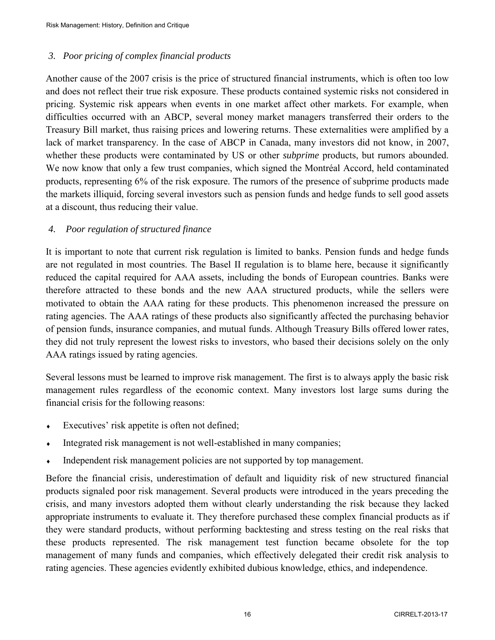#### *3. Poor pricing of complex financial products*

Another cause of the 2007 crisis is the price of structured financial instruments, which is often too low and does not reflect their true risk exposure. These products contained systemic risks not considered in pricing. Systemic risk appears when events in one market affect other markets. For example, when difficulties occurred with an ABCP, several money market managers transferred their orders to the Treasury Bill market, thus raising prices and lowering returns. These externalities were amplified by a lack of market transparency. In the case of ABCP in Canada, many investors did not know, in 2007, whether these products were contaminated by US or other *subprime* products, but rumors abounded. We now know that only a few trust companies, which signed the Montréal Accord, held contaminated products, representing 6% of the risk exposure. The rumors of the presence of subprime products made the markets illiquid, forcing several investors such as pension funds and hedge funds to sell good assets at a discount, thus reducing their value.

#### *4. Poor regulation of structured finance*

It is important to note that current risk regulation is limited to banks. Pension funds and hedge funds are not regulated in most countries. The Basel II regulation is to blame here, because it significantly reduced the capital required for AAA assets, including the bonds of European countries. Banks were therefore attracted to these bonds and the new AAA structured products, while the sellers were motivated to obtain the AAA rating for these products. This phenomenon increased the pressure on rating agencies. The AAA ratings of these products also significantly affected the purchasing behavior of pension funds, insurance companies, and mutual funds. Although Treasury Bills offered lower rates, they did not truly represent the lowest risks to investors, who based their decisions solely on the only AAA ratings issued by rating agencies.

Several lessons must be learned to improve risk management. The first is to always apply the basic risk management rules regardless of the economic context. Many investors lost large sums during the financial crisis for the following reasons:

- Executives' risk appetite is often not defined;
- Integrated risk management is not well-established in many companies;
- Independent risk management policies are not supported by top management.

Before the financial crisis, underestimation of default and liquidity risk of new structured financial products signaled poor risk management. Several products were introduced in the years preceding the crisis, and many investors adopted them without clearly understanding the risk because they lacked appropriate instruments to evaluate it. They therefore purchased these complex financial products as if they were standard products, without performing backtesting and stress testing on the real risks that these products represented. The risk management test function became obsolete for the top management of many funds and companies, which effectively delegated their credit risk analysis to rating agencies. These agencies evidently exhibited dubious knowledge, ethics, and independence.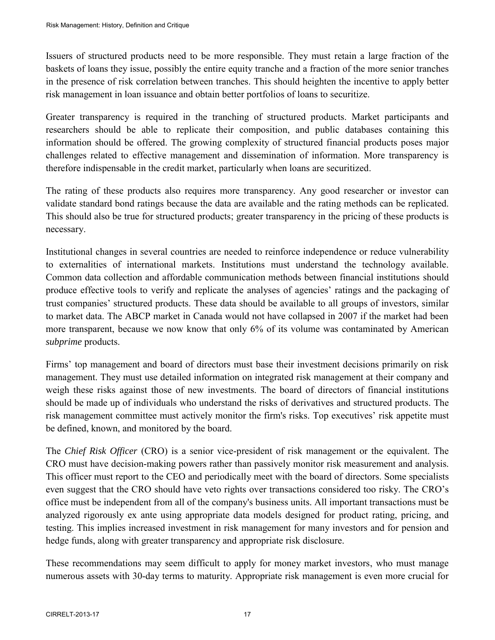Issuers of structured products need to be more responsible. They must retain a large fraction of the baskets of loans they issue, possibly the entire equity tranche and a fraction of the more senior tranches in the presence of risk correlation between tranches. This should heighten the incentive to apply better risk management in loan issuance and obtain better portfolios of loans to securitize.

Greater transparency is required in the tranching of structured products. Market participants and researchers should be able to replicate their composition, and public databases containing this information should be offered. The growing complexity of structured financial products poses major challenges related to effective management and dissemination of information. More transparency is therefore indispensable in the credit market, particularly when loans are securitized.

The rating of these products also requires more transparency. Any good researcher or investor can validate standard bond ratings because the data are available and the rating methods can be replicated. This should also be true for structured products; greater transparency in the pricing of these products is necessary.

Institutional changes in several countries are needed to reinforce independence or reduce vulnerability to externalities of international markets. Institutions must understand the technology available. Common data collection and affordable communication methods between financial institutions should produce effective tools to verify and replicate the analyses of agencies' ratings and the packaging of trust companies' structured products. These data should be available to all groups of investors, similar to market data. The ABCP market in Canada would not have collapsed in 2007 if the market had been more transparent, because we now know that only 6% of its volume was contaminated by American *subprime* products.

Firms' top management and board of directors must base their investment decisions primarily on risk management. They must use detailed information on integrated risk management at their company and weigh these risks against those of new investments. The board of directors of financial institutions should be made up of individuals who understand the risks of derivatives and structured products. The risk management committee must actively monitor the firm's risks. Top executives' risk appetite must be defined, known, and monitored by the board.

The *Chief Risk Officer* (CRO) is a senior vice-president of risk management or the equivalent. The CRO must have decision-making powers rather than passively monitor risk measurement and analysis. This officer must report to the CEO and periodically meet with the board of directors. Some specialists even suggest that the CRO should have veto rights over transactions considered too risky. The CRO's office must be independent from all of the company's business units. All important transactions must be analyzed rigorously ex ante using appropriate data models designed for product rating, pricing, and testing. This implies increased investment in risk management for many investors and for pension and hedge funds, along with greater transparency and appropriate risk disclosure.

These recommendations may seem difficult to apply for money market investors, who must manage numerous assets with 30-day terms to maturity. Appropriate risk management is even more crucial for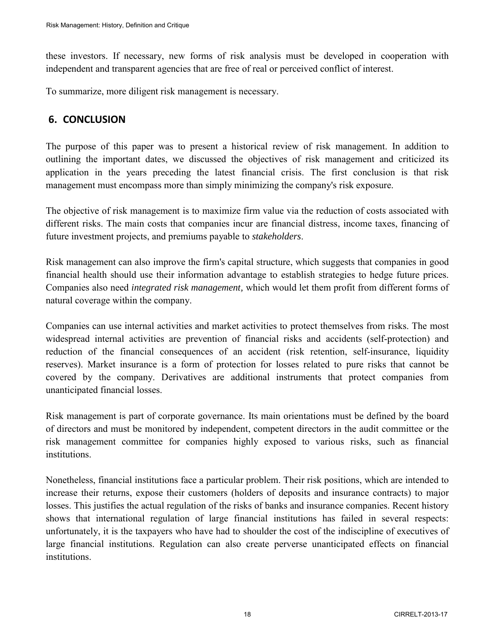these investors. If necessary, new forms of risk analysis must be developed in cooperation with independent and transparent agencies that are free of real or perceived conflict of interest.

To summarize, more diligent risk management is necessary.

## **6. CONCLUSION**

The purpose of this paper was to present a historical review of risk management. In addition to outlining the important dates, we discussed the objectives of risk management and criticized its application in the years preceding the latest financial crisis. The first conclusion is that risk management must encompass more than simply minimizing the company's risk exposure.

The objective of risk management is to maximize firm value via the reduction of costs associated with different risks. The main costs that companies incur are financial distress, income taxes, financing of future investment projects, and premiums payable to *stakeholders*.

Risk management can also improve the firm's capital structure, which suggests that companies in good financial health should use their information advantage to establish strategies to hedge future prices. Companies also need *integrated risk management,* which would let them profit from different forms of natural coverage within the company.

Companies can use internal activities and market activities to protect themselves from risks. The most widespread internal activities are prevention of financial risks and accidents (self-protection) and reduction of the financial consequences of an accident (risk retention, self-insurance, liquidity reserves). Market insurance is a form of protection for losses related to pure risks that cannot be covered by the company. Derivatives are additional instruments that protect companies from unanticipated financial losses.

Risk management is part of corporate governance. Its main orientations must be defined by the board of directors and must be monitored by independent, competent directors in the audit committee or the risk management committee for companies highly exposed to various risks, such as financial institutions.

Nonetheless, financial institutions face a particular problem. Their risk positions, which are intended to increase their returns, expose their customers (holders of deposits and insurance contracts) to major losses. This justifies the actual regulation of the risks of banks and insurance companies. Recent history shows that international regulation of large financial institutions has failed in several respects: unfortunately, it is the taxpayers who have had to shoulder the cost of the indiscipline of executives of large financial institutions. Regulation can also create perverse unanticipated effects on financial institutions.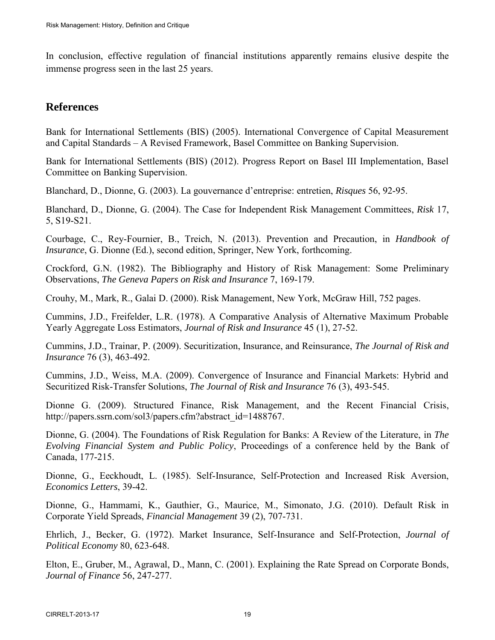In conclusion, effective regulation of financial institutions apparently remains elusive despite the immense progress seen in the last 25 years.

## **References**

Bank for International Settlements (BIS) (2005). International Convergence of Capital Measurement and Capital Standards – A Revised Framework, Basel Committee on Banking Supervision.

Bank for International Settlements (BIS) (2012). Progress Report on Basel III Implementation, Basel Committee on Banking Supervision.

Blanchard, D., Dionne, G. (2003). La gouvernance d'entreprise: entretien, *Risques* 56, 92-95.

Blanchard, D., Dionne, G. (2004). The Case for Independent Risk Management Committees, *Risk* 17, 5, S19-S21.

Courbage, C., Rey-Fournier, B., Treich, N. (2013). Prevention and Precaution, in *Handbook of Insurance*, G. Dionne (Ed.), second edition, Springer, New York, forthcoming.

Crockford, G.N. (1982). The Bibliography and History of Risk Management: Some Preliminary Observations, *The Geneva Papers on Risk and Insurance* 7, 169-179.

Crouhy, M., Mark, R., Galai D. (2000). Risk Management, New York, McGraw Hill, 752 pages.

Cummins, J.D., Freifelder, L.R. (1978). A Comparative Analysis of Alternative Maximum Probable Yearly Aggregate Loss Estimators, *Journal of Risk and Insurance* 45 (1), 27-52.

Cummins, J.D., Trainar, P. (2009). Securitization, Insurance, and Reinsurance, *The Journal of Risk and Insurance* 76 (3), 463-492.

Cummins, J.D., Weiss, M.A. (2009). Convergence of Insurance and Financial Markets: Hybrid and Securitized Risk-Transfer Solutions, *The Journal of Risk and Insurance* 76 (3), 493-545.

Dionne G. (2009). [Structured Finance, Risk Management, and the Recent Financial Crisis,](http://ssrn.com/abstract=1488767) http://papers.ssrn.com/sol3/papers.cfm?abstract\_id=1488767.

Dionne, G. (2004). The Foundations of Risk Regulation for Banks: A Review of the Literature, in *The Evolving Financial System and Public Policy*, Proceedings of a conference held by the Bank of Canada, 177-215.

Dionne, G., Eeckhoudt, L. (1985). Self-Insurance, Self-Protection and Increased Risk Aversion, *Economics Letters*, 39-42.

Dionne, G., Hammami, K., Gauthier, G., Maurice, M., Simonato, J.G. (2010). Default Risk in Corporate Yield Spreads, *Financial Management* 39 (2), 707-731.

Ehrlich, J., Becker, G. (1972). Market Insurance, Self-Insurance and Self-Protection, *Journal of Political Economy* 80, 623-648.

Elton, E., Gruber, M., Agrawal, D., Mann, C. (2001). Explaining the Rate Spread on Corporate Bonds, *Journal of Finance* 56, 247-277.